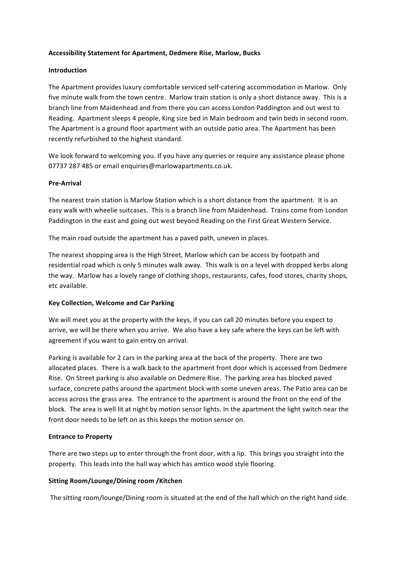## **Accessibility Statement for Apartment, Dedmere Rise, Marlow, Bucks**

## **Introduction**

The Apartment provides luxury comfortable serviced self-catering accommodation in Marlow. Only five minute walk from the town centre. Marlow train station is only a short distance away. This is a branch line from Maidenhead and from there you can access London Paddington and out west to Reading. Apartment sleeps 4 people, King size bed in Main bedroom and twin beds in second room. The Apartment is a ground floor apartment with an outside patio area. The Apartment has been recently refurbished to the highest standard.

We look forward to welcoming you. If you have any queries or require any assistance please phone 07737 287 485 or email enquiries@marlowapartments.co.uk.

## **Pre-Arrival**

The nearest train station is Marlow Station which is a short distance from the apartment. It is an easy walk with wheelie suitcases. This is a branch line from Maidenhead. Trains come from London Paddington in the east and going out west beyond Reading on the First Great Western Service.

The main road outside the apartment has a paved path, uneven in places.

The nearest shopping area is the High Street, Marlow which can be access by footpath and residential road which is only 5 minutes walk away. This walk is on a level with dropped kerbs along the way. Marlow has a lovely range of clothing shops, restaurants, cafes, food stores, charity shops, etc available.

# **Key Collection, Welcome and Car Parking**

We will meet you at the property with the keys, if you can call 20 minutes before you expect to arrive, we will be there when you arrive. We also have a key safe where the keys can be left with agreement if you want to gain entry on arrival.

Parking is available for 2 cars in the parking area at the back of the property. There are two allocated places. There is a walk back to the apartment front door which is accessed from Dedmere Rise. On Street parking is also available on Dedmere Rise. The parking area has blocked paved surface, concrete paths around the apartment block with some uneven areas. The Patio area can be access across the grass area. The entrance to the apartment is around the front on the end of the block. The area is well lit at night by motion sensor lights. In the apartment the light switch near the front door needs to be left on as this keeps the motion sensor on.

## **Entrance to Property**

There are two steps up to enter through the front door, with a lip. This brings you straight into the property. This leads into the hall way which has amtico wood style flooring.

## **Sitting Room/Lounge/Dining room /Kitchen**

The sitting room/lounge/Dining room is situated at the end of the hall which on the right hand side.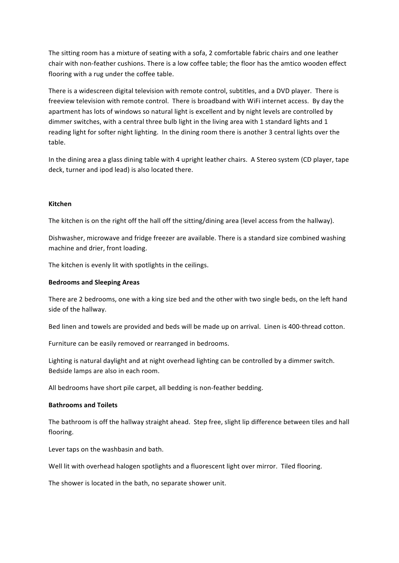The sitting room has a mixture of seating with a sofa, 2 comfortable fabric chairs and one leather chair with non-feather cushions. There is a low coffee table; the floor has the amtico wooden effect flooring with a rug under the coffee table.

There is a widescreen digital television with remote control, subtitles, and a DVD player. There is freeview television with remote control. There is broadband with WiFi internet access. By day the apartment has lots of windows so natural light is excellent and by night levels are controlled by dimmer switches, with a central three bulb light in the living area with 1 standard lights and 1 reading light for softer night lighting. In the dining room there is another 3 central lights over the table.

In the dining area a glass dining table with 4 upright leather chairs. A Stereo system (CD player, tape deck, turner and ipod lead) is also located there.

#### **Kitchen**

The kitchen is on the right off the hall off the sitting/dining area (level access from the hallway).

Dishwasher, microwave and fridge freezer are available. There is a standard size combined washing machine and drier, front loading.

The kitchen is evenly lit with spotlights in the ceilings.

#### **Bedrooms and Sleeping Areas**

There are 2 bedrooms, one with a king size bed and the other with two single beds, on the left hand side of the hallway.

Bed linen and towels are provided and beds will be made up on arrival. Linen is 400-thread cotton.

Furniture can be easily removed or rearranged in bedrooms.

Lighting is natural daylight and at night overhead lighting can be controlled by a dimmer switch. Bedside lamps are also in each room.

All bedrooms have short pile carpet, all bedding is non-feather bedding.

#### **Bathrooms and Toilets**

The bathroom is off the hallway straight ahead. Step free, slight lip difference between tiles and hall flooring. 

Lever taps on the washbasin and bath.

Well lit with overhead halogen spotlights and a fluorescent light over mirror. Tiled flooring.

The shower is located in the bath, no separate shower unit.